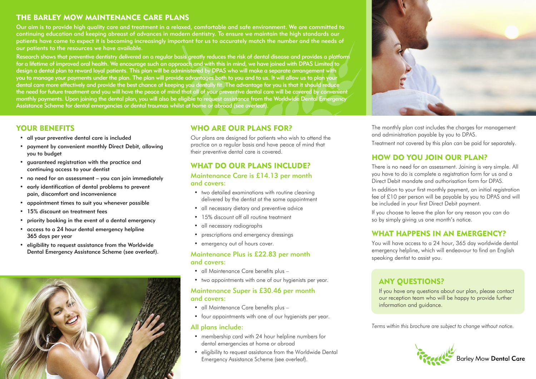## THE BARLEY MOW MAINTENANCE CARE PLANS

Our aim is to provide high quality care and treatment in a relaxed, comfortable and safe environment. We are committed to continuing education and keeping abreast of advances in modern dentistry. To ensure we maintain the high standards our patients have come to expect it is becoming increasingly important for us to accurately match the number and the needs of our patients to the resources we have available.

Research shows that preventive dentistry delivered on a regular basis greatly reduces the risk of dental disease and provides a platform for a lifetime of improved oral health. We encourage such an approach and with this in mind, we have joined with DPAS Limited to design a dental plan to reward loyal patients. This plan will be administered by DPAS who will make a separate arrangement with you to manage your payments under the plan. The plan will provide advantages both to you and to us. It will allow us to plan your dental care more effectively and provide the best chance of keeping you dentally fit. The advantage for you is that it should reduce the need for future treatment and you will have the peace of mind that all of your preventive dental care will be covered by convenient monthly payments. Upon joining the dental plan, you will also be eligible to request assistance from the Worldwide Dental Emergency Assistance Scheme for dental emergencies or dental traumas whilst at home or abroad (see overleaf).



# YOUR BENEFITS

- all your preventive dental care is included
- payment by convenient monthly Direct Debit, allowing you to budget
- guaranteed registration with the practice and continuing access to your dentist
- no need for an assessment you can join immediately
- early identification of dental problems to prevent pain, discomfort and inconvenience
- appointment times to suit you whenever possible
- 15% discount on treatment fees
- priority booking in the event of a dental emergency
- access to a 24 hour dental emergency helpline 365 days per year
- eligibility to request assistance from the Worldwide Dental Emergency Assistance Scheme (see overleaf).



# WHO ARE OUR PLANS FOR?

Our plans are designed for patients who wish to attend the practice on a regular basis and have peace of mind that their preventive dental care is covered.

# WHAT DO OUR PLANS INCLUDE?

## Maintenance Care is £14.13 per month and covers:

- two detailed examinations with routine cleaning delivered by the dentist at the same appointment
- all necessary dietary and preventive advice
- 15% discount off all routine treatment
- all necessary radiographs
- prescriptions and emergency dressings
- emergency out of hours cover.

### Maintenance Plus is £22.83 per month and covers:

- all Maintenance Care benefits plus –
- two appointments with one of our hygienists per year.

## Maintenance Super is £30.46 per month and covers:

- all Maintenance Care benefits plus –
- four appointments with one of our hygienists per year.

### All plans include:

- membership card with 24 hour helpline numbers for dental emergencies at home or abroad
- eligibility to request assistance from the Worldwide Dental Emergency Assistance Scheme (see overleaf).

The monthly plan cost includes the charges for management and administration payable by you to DPAS.

Treatment not covered by this plan can be paid for separately.

## HOW DO YOU JOIN OUR PLAN?

There is no need for an assessment. Joining is very simple. All you have to do is complete a registration form for us and a Direct Debit mandate and authorisation form for DPAS.

In addition to your first monthly payment, an initial registration fee of £10 per person will be payable by you to DPAS and will be included in your first Direct Debit payment.

If you choose to leave the plan for any reason you can do so by simply giving us one month's notice.

## WHAT HAPPENS IN AN EMERGENCY?

You will have access to a 24 hour, 365 day worldwide dental emergency helpline, which will endeavour to find an English speaking dentist to assist you.

# ANY QUESTIONS?

If you have any questions about our plan, please contact our reception team who will be happy to provide further information and guidance.

*Terms within this brochure are subject to change without notice.*